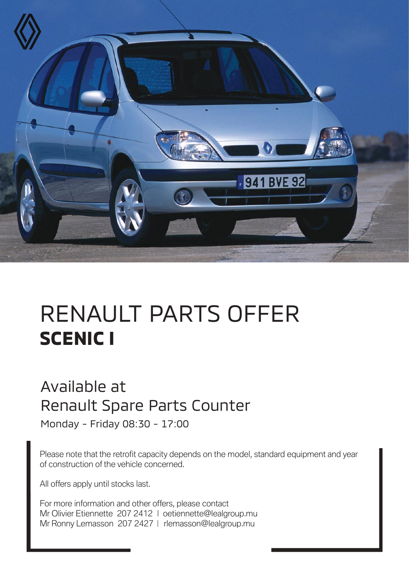

## RENAULT PARTS OFFER **SCENIC I**

## Available at Renault Spare Parts Counter

Monday - Friday 08:30 - 17:00

Please note that the retrofit capacity depends on the model, standard equipment and year of construction of the vehicle concerned.

All offers apply until stocks last.

For more information and other offers, please contact Mr Olivier Etiennette 207 2412 | oetiennette@lealgroup.mu Mr Ronny Lemasson 207 2427 | rlemasson@lealgroup.mu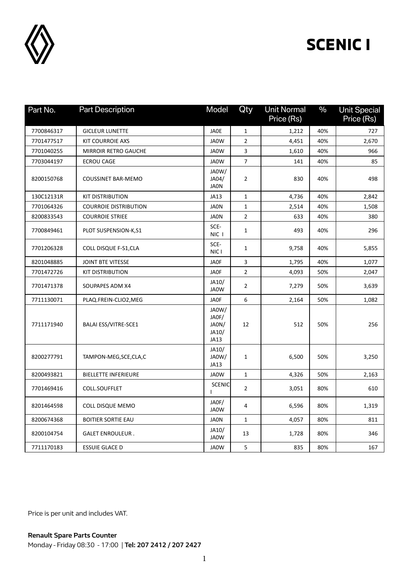

## **SCENIC I**

| Part No.   | <b>Part Description</b>      | Model                                    | Qty            | <b>Unit Normal</b><br>Price (Rs) | $\frac{0}{0}$ | <b>Unit Special</b><br>Price (Rs) |
|------------|------------------------------|------------------------------------------|----------------|----------------------------------|---------------|-----------------------------------|
| 7700846317 | <b>GICLEUR LUNETTE</b>       | <b>JAOE</b>                              | $\mathbf 1$    | 1,212                            | 40%           | 727                               |
| 7701477517 | <b>KIT COURROIE AXS</b>      | JA0W                                     | $\overline{2}$ | 4,451                            | 40%           | 2,670                             |
| 7701040255 | <b>MIRROIR RETRO GAUCHE</b>  | JA0W                                     | 3              | 1,610                            | 40%           | 966                               |
| 7703044197 | <b>ECROU CAGE</b>            | JA0W                                     | 7              | 141                              | 40%           | 85                                |
| 8200150768 | <b>COUSSINET BAR-MEMO</b>    | JA0W/<br>JA04/<br><b>JAON</b>            | 2              | 830                              | 40%           | 498                               |
| 130C12131R | <b>KIT DISTRIBUTION</b>      | JA13                                     | 1              | 4,736                            | 40%           | 2,842                             |
| 7701064326 | <b>COURROIE DISTRIBUTION</b> | <b>JAON</b>                              | 1              | 2,514                            | 40%           | 1,508                             |
| 8200833543 | <b>COURROIE STRIEE</b>       | <b>JAON</b>                              | $\overline{2}$ | 633                              | 40%           | 380                               |
| 7700849461 | PLOT SUSPENSION-K,S1         | SCE-<br>NIC I                            | 1              | 493                              | 40%           | 296                               |
| 7701206328 | COLL DISQUE F-S1, CLA        | SCE-<br>NIC I                            | 1              | 9,758                            | 40%           | 5,855                             |
| 8201048885 | <b>JOINT BTE VITESSE</b>     | <b>JAOF</b>                              | 3              | 1,795                            | 40%           | 1,077                             |
| 7701472726 | <b>KIT DISTRIBUTION</b>      | <b>JAOF</b>                              | $\overline{2}$ | 4,093                            | 50%           | 2,047                             |
| 7701471378 | SOUPAPES ADM X4              | JA10/<br>JA0W                            | 2              | 7,279                            | 50%           | 3,639                             |
| 7711130071 | PLAQ.FREIN-CLIO2, MEG        | <b>JAOF</b>                              | 6              | 2,164                            | 50%           | 1,082                             |
| 7711171940 | BALAI ESS/VITRE-SCE1         | JA0W/<br>JAOF/<br>JAON/<br>JA10/<br>JA13 | 12             | 512                              | 50%           | 256                               |
| 8200277791 | TAMPON-MEG, SCE, CLA, C      | JA10/<br>JA0W/<br>JA13                   | 1              | 6,500                            | 50%           | 3,250                             |
| 8200493821 | <b>BIELLETTE INFERIEURE</b>  | JA0W                                     | $\mathbf{1}$   | 4,326                            | 50%           | 2,163                             |
| 7701469416 | COLL.SOUFFLET                | <b>SCENIC</b>                            | $\overline{2}$ | 3,051                            | 80%           | 610                               |
| 8201464598 | COLL DISQUE MEMO             | JAOF/<br>JA0W                            | 4              | 6,596                            | 80%           | 1,319                             |
| 8200674368 | <b>BOITIER SORTIE EAU</b>    | <b>JAON</b>                              | $\mathbf{1}$   | 4,057                            | 80%           | 811                               |
| 8200104754 | <b>GALET ENROULEUR.</b>      | JA10/<br>JA0W                            | 13             | 1,728                            | 80%           | 346                               |
| 7711170183 | <b>ESSUIE GLACE D</b>        | <b>JAOW</b>                              | 5              | 835                              | 80%           | 167                               |

Price is per unit and includes VAT.